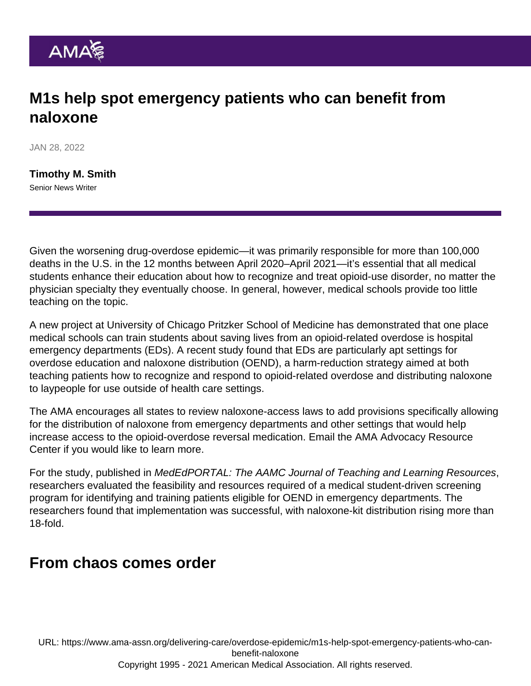## M1s help spot emergency patients who can benefit from naloxone

JAN 28, 2022

[Timothy M. Smith](https://www.ama-assn.org/news-leadership-viewpoints/authors-news-leadership-viewpoints/timothy-m-smith) Senior News Writer

Given the worsening [drug-overdose epidemic](https://www.ama-assn.org/topics/drug-overdose-epidemic)—it was primarily responsible for more than 100,000 deaths in the U.S. in the 12 months between April 2020–April 2021—it's essential that all medical students enhance their education about how to recognize and treat opioid-use disorder, no matter the physician specialty they eventually choose. In general, however, medical schools provide too little teaching on the topic.

A new project at University of Chicago Pritzker School of Medicine has demonstrated that one place medical schools can train students about saving lives from an opioid-related overdose is hospital emergency departments (EDs). A recent study found that EDs are particularly apt settings for overdose education and naloxone distribution (OEND), a [harm-reduction strategy](https://www.ama-assn.org/delivering-care/overdose-epidemic/embracing-harm-reduction-emergency-department) aimed at both teaching patients how to recognize and respond to opioid-related overdose and distributing naloxone to laypeople for use outside of health care settings.

The AMA encourages all states to review naloxone-access laws to add provisions specifically allowing for the distribution of naloxone from emergency departments and other settings that would help increase access to the opioid-overdose reversal medication. [Email the AMA Advocacy Resource](mailto:arc@ama-assn.org) [Center](mailto:arc@ama-assn.org) if you would like to learn more.

For the [study](https://www.mededportal.org/doi/10.15766/mep_2374-8265.11196), published in MedEdPORTAL: The AAMC Journal of Teaching and Learning Resources, researchers evaluated the feasibility and resources required of a medical student-driven screening program for identifying and training patients eligible for OEND in emergency departments. The researchers found that implementation was successful, with naloxone-kit distribution rising more than 18-fold.

## From chaos comes order

URL: [https://www.ama-assn.org/delivering-care/overdose-epidemic/m1s-help-spot-emergency-patients-who-can](https://www.ama-assn.org/delivering-care/overdose-epidemic/m1s-help-spot-emergency-patients-who-can-benefit-naloxone)[benefit-naloxone](https://www.ama-assn.org/delivering-care/overdose-epidemic/m1s-help-spot-emergency-patients-who-can-benefit-naloxone) Copyright 1995 - 2021 American Medical Association. All rights reserved.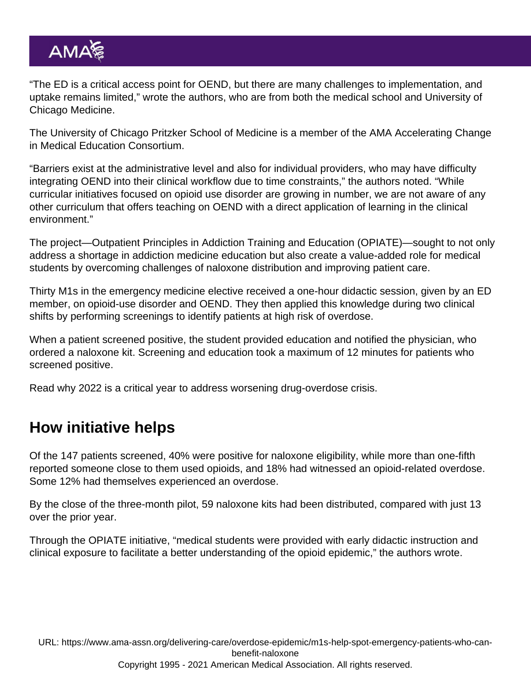"The ED is a critical access point for OEND, but there are many challenges to implementation, and uptake remains limited," wrote the authors, who are from both the medical school and University of Chicago Medicine.

The University of Chicago Pritzker School of Medicine is a member of the [AMA Accelerating Change](https://www.ama-assn.org/education/accelerating-change-medical-education) [in Medical Education Consortium](https://www.ama-assn.org/education/accelerating-change-medical-education).

"Barriers exist at the administrative level and also for individual providers, who may have difficulty integrating OEND into their clinical workflow due to time constraints," the authors noted. "While curricular initiatives focused on opioid use disorder are growing in number, we are not aware of any other curriculum that offers teaching on OEND with a direct application of learning in the clinical environment."

The project—Outpatient Principles in Addiction Training and Education (OPIATE)—sought to not only address a shortage in addiction medicine education but also create a value-added role for medical students by overcoming challenges of naloxone distribution and improving patient care.

Thirty M1s in the emergency medicine elective received a one-hour didactic session, given by an ED member, on opioid-use disorder and OEND. They then applied this knowledge during two clinical shifts by performing screenings to identify patients at high risk of overdose.

When a patient screened positive, the student provided education and notified the physician, who ordered a naloxone kit. Screening and education took a maximum of 12 minutes for patients who screened positive.

Read why [2022 is a critical year to address worsening drug-overdose crisis](https://www.ama-assn.org/about/leadership/2022-critical-year-address-worsening-drug-overdose-crisis).

## How initiative helps

Of the 147 patients screened, 40% were positive for naloxone eligibility, while more than one-fifth reported someone close to them used opioids, and 18% had witnessed an opioid-related overdose. Some 12% had themselves experienced an overdose.

By the close of the three-month pilot, 59 naloxone kits had been distributed, compared with just 13 over the prior year.

Through the OPIATE initiative, "medical students were provided with early didactic instruction and clinical exposure to facilitate a better understanding of the opioid epidemic," the authors wrote.

URL: [https://www.ama-assn.org/delivering-care/overdose-epidemic/m1s-help-spot-emergency-patients-who-can](https://www.ama-assn.org/delivering-care/overdose-epidemic/m1s-help-spot-emergency-patients-who-can-benefit-naloxone)[benefit-naloxone](https://www.ama-assn.org/delivering-care/overdose-epidemic/m1s-help-spot-emergency-patients-who-can-benefit-naloxone) Copyright 1995 - 2021 American Medical Association. All rights reserved.